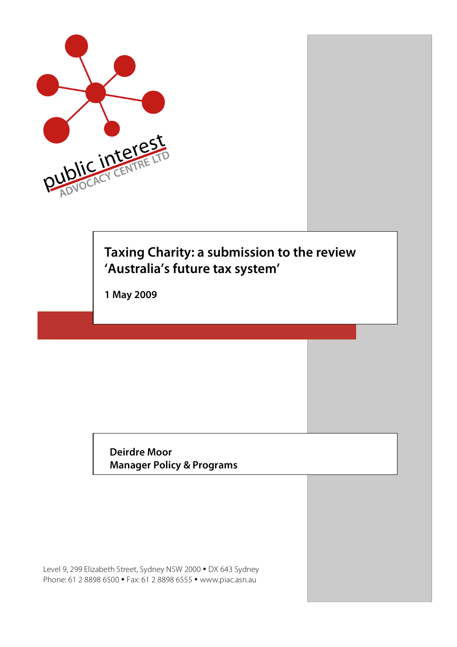

# **Taxing Charity: a submission to the review 'Australia's future tax system'**

**1 May 2009**

**Deirdre Moor Manager Policy & Programs**

Level 9, 299 Elizabeth Street, Sydney NSW 2000 • DX 643 Sydney Phone: 61 2 8898 6500 • Fax: 61 2 8898 6555 • www.piac.asn.au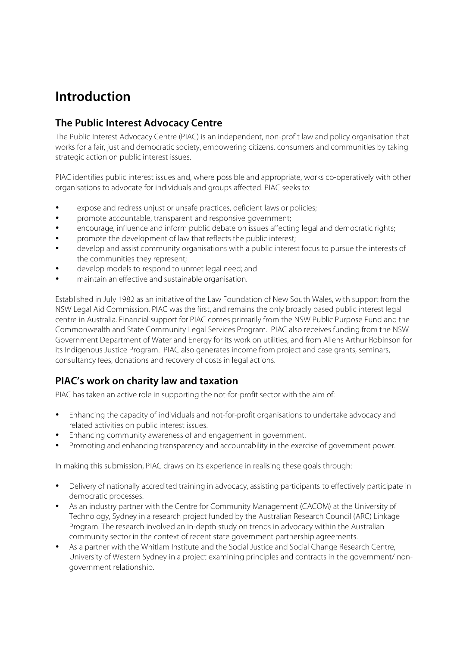## **Introduction**

### **The Public Interest Advocacy Centre**

The Public Interest Advocacy Centre (PIAC) is an independent, non-profit law and policy organisation that works for a fair, just and democratic society, empowering citizens, consumers and communities by taking strategic action on public interest issues.

PIAC identifies public interest issues and, where possible and appropriate, works co-operatively with other organisations to advocate for individuals and groups affected. PIAC seeks to:

- expose and redress unjust or unsafe practices, deficient laws or policies;
- promote accountable, transparent and responsive government;
- encourage, influence and inform public debate on issues affecting legal and democratic rights;
- promote the development of law that reflects the public interest;
- develop and assist community organisations with a public interest focus to pursue the interests of the communities they represent;
- develop models to respond to unmet legal need; and
- maintain an effective and sustainable organisation.

Established in July 1982 as an initiative of the Law Foundation of New South Wales, with support from the NSW Legal Aid Commission, PIAC was the first, and remains the only broadly based public interest legal centre in Australia. Financial support for PIAC comes primarily from the NSW Public Purpose Fund and the Commonwealth and State Community Legal Services Program. PIAC also receives funding from the NSW Government Department of Water and Energy for its work on utilities, and from Allens Arthur Robinson for its Indigenous Justice Program. PIAC also generates income from project and case grants, seminars, consultancy fees, donations and recovery of costs in legal actions.

### **PIAC's work on charity law and taxation**

PIAC has taken an active role in supporting the not-for-profit sector with the aim of:

- Enhancing the capacity of individuals and not-for-profit organisations to undertake advocacy and related activities on public interest issues.
- Enhancing community awareness of and engagement in government.
- Promoting and enhancing transparency and accountability in the exercise of government power.

In making this submission, PIAC draws on its experience in realising these goals through:

- Delivery of nationally accredited training in advocacy, assisting participants to effectively participate in democratic processes.
- As an industry partner with the Centre for Community Management (CACOM) at the University of Technology, Sydney in a research project funded by the Australian Research Council (ARC) Linkage Program. The research involved an in-depth study on trends in advocacy within the Australian community sector in the context of recent state government partnership agreements.
- As a partner with the Whitlam Institute and the Social Justice and Social Change Research Centre, University of Western Sydney in a project examining principles and contracts in the government/ nongovernment relationship.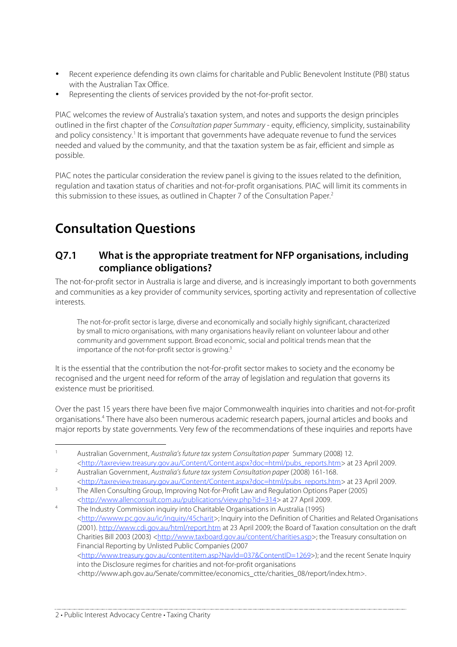- Recent experience defending its own claims for charitable and Public Benevolent Institute (PBI) status with the Australian Tax Office.
- Representing the clients of services provided by the not-for-profit sector.

PIAC welcomes the review of Australia's taxation system, and notes and supports the design principles outlined in the first chapter of the Consultation paper Summary - equity, efficiency, simplicity, sustainability and policy consistency.<sup>1</sup> It is important that governments have adequate revenue to fund the services needed and valued by the community, and that the taxation system be as fair, efficient and simple as possible.

PIAC notes the particular consideration the review panel is giving to the issues related to the definition, regulation and taxation status of charities and not-for-profit organisations. PIAC will limit its comments in this submission to these issues, as outlined in Chapter 7 of the Consultation Paper. 2

# **Consultation Questions**

#### **Q7.1 What is the appropriate treatment for NFP organisations, including compliance obligations?**

The not-for-profit sector in Australia is large and diverse, and is increasingly important to both governments and communities as a key provider of community services, sporting activity and representation of collective interests.

The not-for-profit sector is large, diverse and economically and socially highly significant, characterized by small to micro organisations, with many organisations heavily reliant on volunteer labour and other community and government support. Broad economic, social and political trends mean that the importance of the not-for-profit sector is growing.<sup>3</sup>

It is the essential that the contribution the not-for-profit sector makes to society and the economy be recognised and the urgent need for reform of the array of legislation and regulation that governs its existence must be prioritised.

Over the past 15 years there have been five major Commonwealth inquiries into charities and not-for-profit organisations. <sup>4</sup> There have also been numerous academic research papers, journal articles and books and major reports by state governments. Very few of the recommendations of these inquiries and reports have

<sup>&</sup>lt;sup>1</sup> Australian Government, Australia's future tax system Consultation paper Summary (2008) 12. <http://taxreview.treasury.gov.au/Content/Content.aspx?doc=html/pubs\_reports.htm> at 23 April 2009.

<sup>2</sup> Australian Government, Australia's future tax system Consultation paper (2008) 161-168. <http://taxreview.treasury.gov.au/Content/Content.aspx?doc=html/pubs\_reports.htm> at 23 April 2009.

<sup>&</sup>lt;sup>3</sup> The Allen Consulting Group, Improving Not-for-Profit Law and Regulation Options Paper (2005) <http://www.allenconsult.com.au/publications/view.php?id=314> at 27 April 2009.

<sup>4</sup> The Industry Commission inquiry into Charitable Organisations in Australia (1995) <http://wwww.pc.gov.au/ic/inquiry/45charit>; Inquiry into the Definition of Charities and Related Organisations (2001). http://www.cdi.gov.au/html/report.htm at 23 April 2009; the Board of Taxation consultation on the draft Charities Bill 2003 (2003) <http://www.taxboard.gov.au/content/charities.asp>; the Treasury consultation on Financial Reporting by Unlisted Public Companies (2007 <http://www.treasury.gov.au/contentitem.asp?Navld=037&ContentID=1269>); and the recent Senate Inquiry into the Disclosure regimes for charities and not-for-profit organisations <http://www.aph.gov.au/Senate/committee/economics\_ctte/charities\_08/report/index.htm>.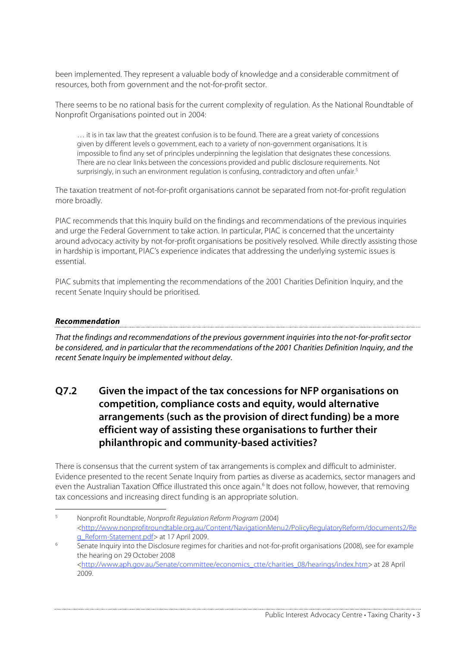been implemented. They represent a valuable body of knowledge and a considerable commitment of resources, both from government and the not-for-profit sector.

There seems to be no rational basis for the current complexity of regulation. As the National Roundtable of Nonprofit Organisations pointed out in 2004:

… it is in tax law that the greatest confusion is to be found. There are a great variety of concessions given by different levels o government, each to a variety of non-government organisations. It is impossible to find any set of principles underpinning the legislation that designates these concessions. There are no clear links between the concessions provided and public disclosure requirements. Not surprisingly, in such an environment regulation is confusing, contradictory and often unfair.<sup>5</sup>

The taxation treatment of not-for-profit organisations cannot be separated from not-for-profit regulation more broadly.

PIAC recommends that this Inquiry build on the findings and recommendations of the previous inquiries and urge the Federal Government to take action. In particular, PIAC is concerned that the uncertainty around advocacy activity by not-for-profit organisations be positively resolved. While directly assisting those in hardship is important, PIAC's experience indicates that addressing the underlying systemic issues is essential.

PIAC submits that implementing the recommendations of the 2001 Charities Definition Inquiry, and the recent Senate Inquiry should be prioritised.

#### **Recommendation**

That the findings and recommendations of the previous government inquiries into the not-for-profit sector be considered, and in particular that the recommendations of the 2001 Charities Definition Inquiry, and the recent Senate Inquiry be implemented without delay.

### **Q7.2 Given the impact of the tax concessions for NFP organisations on competition, compliance costs and equity, would alternative arrangements (such as the provision of direct funding) be a more efficient way of assisting these organisations to further their philanthropic and community-based activities?**

There is consensus that the current system of tax arrangements is complex and difficult to administer. Evidence presented to the recent Senate Inquiry from parties as diverse as academics, sector managers and even the Australian Taxation Office illustrated this once again. <sup>6</sup> It does not follow, however, that removing tax concessions and increasing direct funding is an appropriate solution.

 <sup>5</sup> Nonprofit Roundtable, Nonprofit Regulation Reform Program (2004) <http://www.nonprofitroundtable.org.au/Content/NavigationMenu2/PolicyRegulatoryReform/documents2/Re g\_Reform-Statement.pdf> at 17 April 2009.

 $\frac{1}{6}$  Senate Inquiry into the Disclosure regimes for charities and not-for-profit organisations (2008), see for example the hearing on 29 October 2008 <http://www.aph.gov.au/Senate/committee/economics\_ctte/charities\_08/hearings/index.htm> at 28 April 2009.